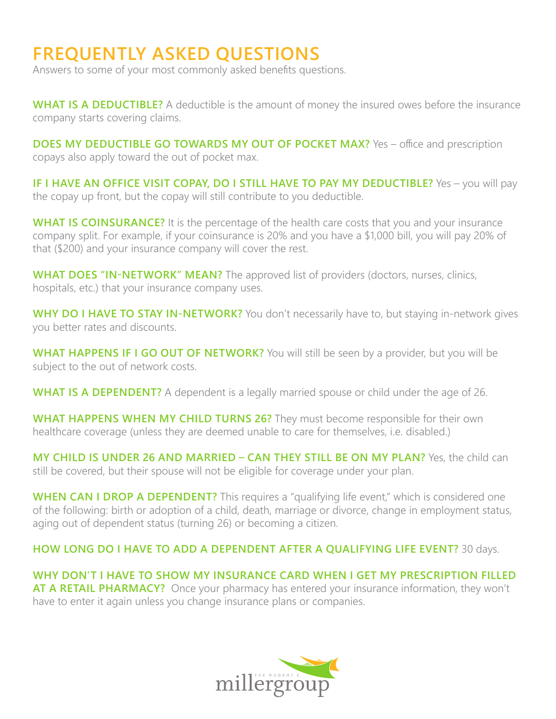## **FREQUENTLY ASKED QUESTIONS**

Answers to some of your most commonly asked benefits questions.

**WHAT IS A DEDUCTIBLE?** A deductible is the amount of money the insured owes before the insurance company starts covering claims.

**DOES MY DEDUCTIBLE GO TOWARDS MY OUT OF POCKET MAX?** Yes – office and prescription copays also apply toward the out of pocket max.

**IF I HAVE AN OFFICE VISIT COPAY, DO I STILL HAVE TO PAY MY DEDUCTIBLE?** Yes - you will pay the copay up front, but the copay will still contribute to you deductible.

**WHAT IS COINSURANCE?** It is the percentage of the health care costs that you and your insurance company split. For example, if your coinsurance is 20% and you have a \$1,000 bill, you will pay 20% of that (\$200) and your insurance company will cover the rest.

**WHAT DOES "IN-NETWORK" MEAN?** The approved list of providers (doctors, nurses, clinics, hospitals, etc.) that your insurance company uses.

**WHY DO I HAVE TO STAY IN-NETWORK?** You don't necessarily have to, but staying in-network gives you better rates and discounts.

**WHAT HAPPENS IF I GO OUT OF NETWORK?** You will still be seen by a provider, but you will be subject to the out of network costs.

**WHAT IS A DEPENDENT?** A dependent is a legally married spouse or child under the age of 26.

**WHAT HAPPENS WHEN MY CHILD TURNS 26?** They must become responsible for their own healthcare coverage (unless they are deemed unable to care for themselves, i.e. disabled.)

**MY CHILD IS UNDER 26 AND MARRIED – CAN THEY STILL BE ON MY PLAN?** Yes, the child can still be covered, but their spouse will not be eligible for coverage under your plan.

**WHEN CAN I DROP A DEPENDENT?** This requires a "qualifying life event," which is considered one of the following: birth or adoption of a child, death, marriage or divorce, change in employment status, aging out of dependent status (turning 26) or becoming a citizen.

**HOW LONG DO I HAVE TO ADD A DEPENDENT AFTER A QUALIFYING LIFE EVENT?** 30 days.

**WHY DON'T I HAVE TO SHOW MY INSURANCE CARD WHEN I GET MY PRESCRIPTION FILLED**  AT A RETAIL PHARMACY? Once your pharmacy has entered your insurance information, they won't have to enter it again unless you change insurance plans or companies.